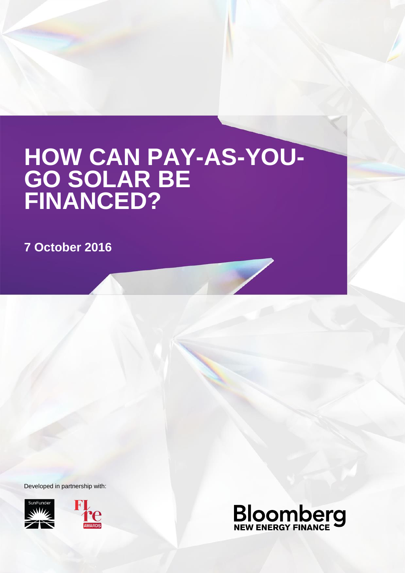# **HOW CAN PAY-AS-YOU-GO SOLAR BE FINANCED?**

**7 October 2016**

Developed in partnership with:





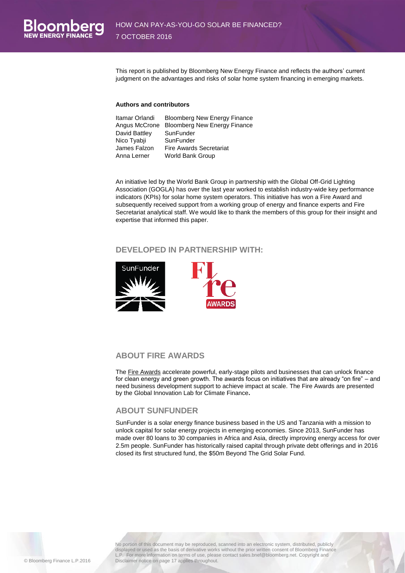This report is published by Bloomberg New Energy Finance and reflects the authors' current judgment on the advantages and risks of solar home system financing in emerging markets.

#### **Authors and contributors**

| Itamar Orlandi | <b>Bloomberg New Energy Finance</b> |
|----------------|-------------------------------------|
| Angus McCrone  | <b>Bloomberg New Energy Finance</b> |
| David Battley  | SunFunder                           |
| Nico Tyabji    | SunFunder                           |
| James Falzon   | <b>Fire Awards Secretariat</b>      |
| Anna Lerner    | World Bank Group                    |

An initiative led by the World Bank Group in partnership with the Global Off-Grid Lighting Association (GOGLA) has over the last year worked to establish industry-wide key performance indicators (KPIs) for solar home system operators. This initiative has won a Fire Award and subsequently received support from a working group of energy and finance experts and Fire Secretariat analytical staff. We would like to thank the members of this group for their insight and expertise that informed this paper.

#### **DEVELOPED IN PARTNERSHIP WITH:**



#### **ABOUT FIRE AWARDS**

The [Fire Awards](http://www.financeforresilience.com/) accelerate powerful, early-stage pilots and businesses that can unlock finance for clean energy and green growth. The awards focus on initiatives that are already "on fire" – and need business development support to achieve impact at scale. The Fire Awards are presented by the [Global Innovation Lab for Climate Finance](http://climatefinancelab.org/)**.**

#### **ABOUT SUNFUNDER**

SunFunder is a solar energy finance business based in the US and Tanzania with a mission to unlock capital for solar energy projects in emerging economies. Since 2013, SunFunder has made over 80 loans to 30 companies in Africa and Asia, directly improving energy access for over 2.5m people. SunFunder has historically raised capital through private debt offerings and in 2016 closed its first structured fund, the \$50m Beyond The Grid Solar Fund.

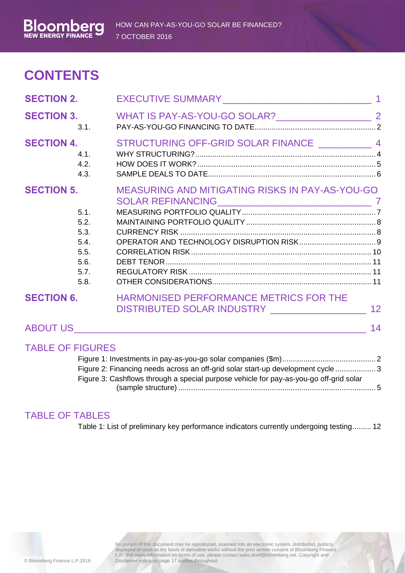# **CONTENTS**

| <b>SECTION 2.</b>       |                                                              |                                                                                                                                                                               |  |
|-------------------------|--------------------------------------------------------------|-------------------------------------------------------------------------------------------------------------------------------------------------------------------------------|--|
| <b>SECTION 3.</b>       | 3.1.                                                         | WHAT IS PAY-AS-YOU-GO SOLAR? 22                                                                                                                                               |  |
| <b>SECTION 4.</b>       | 4.1.<br>4.2.<br>4.3.                                         | STRUCTURING OFF-GRID SOLAR FINANCE ___________ 4                                                                                                                              |  |
| <b>SECTION 5.</b>       | 5.1.<br>5.2.<br>5.3.<br>5.4.<br>5.5.<br>5.6.<br>5.7.<br>5.8. | MEASURING AND MITIGATING RISKS IN PAY-AS-YOU-GO                                                                                                                               |  |
| <b>SECTION 6.</b>       |                                                              | HARMONISED PERFORMANCE METRICS FOR THE<br>DISTRIBUTED SOLAR INDUSTRY ______________________ 12                                                                                |  |
|                         |                                                              |                                                                                                                                                                               |  |
| <b>TABLE OF FIGURES</b> |                                                              | Figure 2: Financing needs across an off-grid solar start-up development cycle 3<br>$\frac{1}{2}$ Cookflows through a special purpose variate for pay as you go off grid solar |  |

Figure 3: Cashflows through a special purpose vehicle for pay-as-you-go off-grid solar (sample structure) ............................................................................................. 5

### TABLE OF TABLES

Table 1: List of preliminary key performance indicators currently undergoing testing......... 12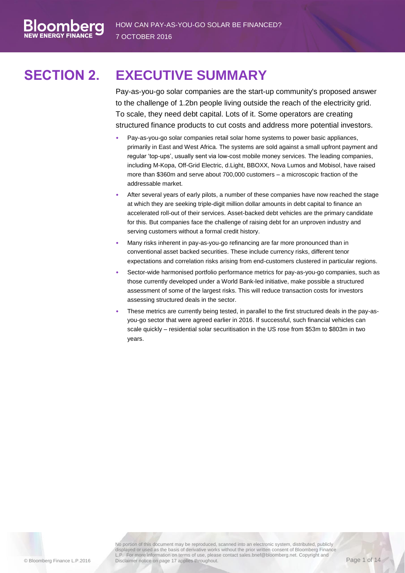# **SECTION 2. EXECUTIVE SUMMARY**

combe

<span id="page-3-0"></span>Pay-as-you-go solar companies are the start-up community's proposed answer to the challenge of 1.2bn people living outside the reach of the electricity grid. To scale, they need debt capital. Lots of it. Some operators are creating structured finance products to cut costs and address more potential investors.

- Pay-as-you-go solar companies retail solar home systems to power basic appliances, primarily in East and West Africa. The systems are sold against a small upfront payment and regular 'top-ups', usually sent via low-cost mobile money services. The leading companies, including M-Kopa, Off-Grid Electric, d.Light, BBOXX, Nova Lumos and Mobisol, have raised more than \$360m and serve about 700,000 customers – a microscopic fraction of the addressable market.
- After several years of early pilots, a number of these companies have now reached the stage at which they are seeking triple-digit million dollar amounts in debt capital to finance an accelerated roll-out of their services. Asset-backed debt vehicles are the primary candidate for this. But companies face the challenge of raising debt for an unproven industry and serving customers without a formal credit history.
- Many risks inherent in pay-as-you-go refinancing are far more pronounced than in conventional asset backed securities. These include currency risks, different tenor expectations and correlation risks arising from end-customers clustered in particular regions.
- Sector-wide harmonised portfolio performance metrics for pay-as-you-go companies, such as those currently developed under a World Bank-led initiative, make possible a structured assessment of some of the largest risks. This will reduce transaction costs for investors assessing structured deals in the sector.
- These metrics are currently being tested, in parallel to the first structured deals in the pay-asyou-go sector that were agreed earlier in 2016. If successful, such financial vehicles can scale quickly – residential solar securitisation in the US rose from \$53m to \$803m in two years.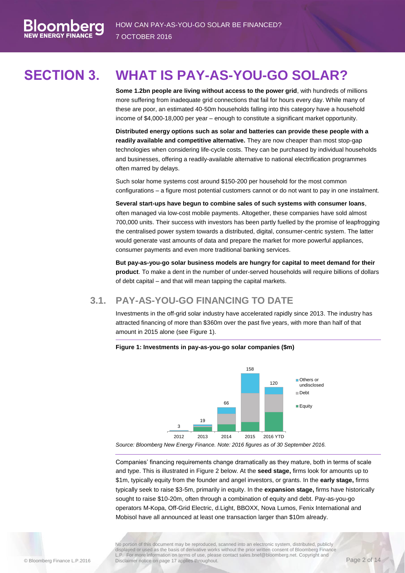# **SECTION 3. WHAT IS PAY-AS-YOU-GO SOLAR?**

<span id="page-4-0"></span>**Some 1.2bn people are living without access to the power grid**, with hundreds of millions more suffering from inadequate grid connections that fail for hours every day. While many of these are poor, an estimated 40-50m households falling into this category have a household income of \$4,000-18,000 per year – enough to constitute a significant market opportunity.

**Distributed energy options such as solar and batteries can provide these people with a readily available and competitive alternative.** They are now cheaper than most stop-gap technologies when considering life-cycle costs. They can be purchased by individual households and businesses, offering a readily-available alternative to national electrification programmes often marred by delays.

Such solar home systems cost around \$150-200 per household for the most common configurations – a figure most potential customers cannot or do not want to pay in one instalment.

**Several start-ups have begun to combine sales of such systems with consumer loans**, often managed via low-cost mobile payments. Altogether, these companies have sold almost 700,000 units. Their success with investors has been partly fuelled by the promise of leapfrogging the centralised power system towards a distributed, digital, consumer-centric system. The latter would generate vast amounts of data and prepare the market for more powerful appliances, consumer payments and even more traditional banking services.

**But pay-as-you-go solar business models are hungry for capital to meet demand for their product**. To make a dent in the number of under-served households will require billions of dollars of debt capital – and that will mean tapping the capital markets.

### **3.1. PAY-AS-YOU-GO FINANCING TO DATE**

<span id="page-4-1"></span>Investments in the off-grid solar industry have accelerated rapidly since 2013. The industry has attracted financing of more than \$360m over the past five years, with more than half of that amount in 2015 alone (see [Figure 1\)](#page-4-2).

#### <span id="page-4-2"></span>**Figure 1: Investments in pay-as-you-go solar companies (\$m)**



*Source: Bloomberg New Energy Finance. Note: 2016 figures as of 30 September 2016.*

Companies' financing requirements change dramatically as they mature, both in terms of scale and type. This is illustrated i[n Figure 2](#page-5-0) below. At the **seed stage,** firms look for amounts up to \$1m, typically equity from the founder and angel investors, or grants. In the **early stage,** firms typically seek to raise \$3-5m, primarily in equity. In the **expansion stage,** firms have historically sought to raise \$10-20m, often through a combination of equity and debt. Pay-as-you-go operators M-Kopa, Off-Grid Electric, d.Light, BBOXX, Nova Lumos, Fenix International and Mobisol have all announced at least one transaction larger than \$10m already.

No portion of this document may be reproduced, scanned into an electronic system, distributed, publicly displayed or used as the basis of derivative works without the prior written consent of Bloomberg Finance L.P. For more information on terms of use, please contact sales.bnef@bloomberg.net. Copyright and Disclaimer notice on page 17 applies throughout. Concentration of the concentration of the Page 2 of 14

oombe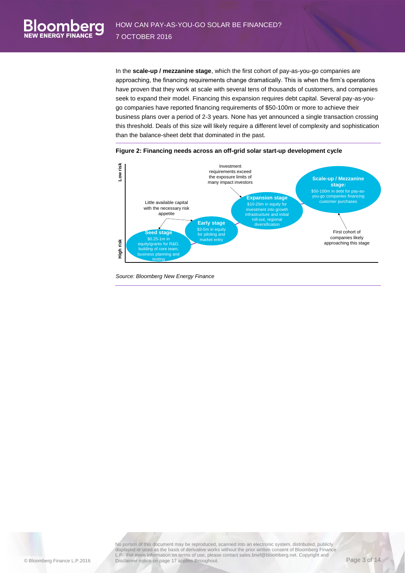In the **scale-up / mezzanine stage**, which the first cohort of pay-as-you-go companies are approaching, the financing requirements change dramatically. This is when the firm's operations have proven that they work at scale with several tens of thousands of customers, and companies seek to expand their model. Financing this expansion requires debt capital. Several pay-as-yougo companies have reported financing requirements of \$50-100m or more to achieve their business plans over a period of 2-3 years. None has yet announced a single transaction crossing this threshold. Deals of this size will likely require a different level of complexity and sophistication than the balance-sheet debt that dominated in the past.



<span id="page-5-0"></span>

No portion of this document may be reproduced, scanned into an electronic system, distributed, publicly displayed or used as the basis of derivative works without the prior written consent of Bloomberg Finance L.P. For more information on terms of use, please contact sales.bnef@bloomberg.net. Copyright and Disclaimer notice on page 17 applies throughout. Disclaimer substitute throughout Page 3 of 14

oombero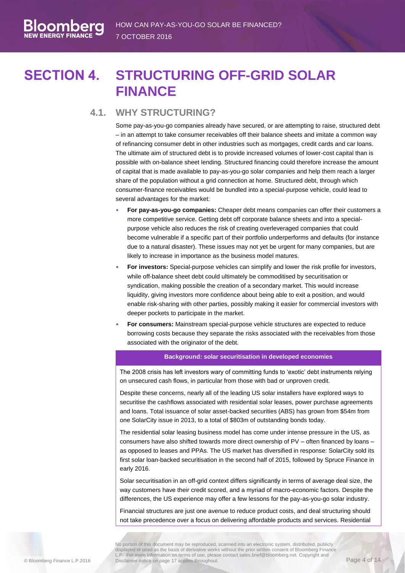# **SECTION 4. STRUCTURING OFF-GRID SOLAR FINANCE**

#### <span id="page-6-0"></span>**4.1. WHY STRUCTURING?**

<span id="page-6-1"></span>Some pay-as-you-go companies already have secured, or are attempting to raise, structured debt – in an attempt to take consumer receivables off their balance sheets and imitate a common way of refinancing consumer debt in other industries such as mortgages, credit cards and car loans. The ultimate aim of structured debt is to provide increased volumes of lower-cost capital than is possible with on-balance sheet lending. Structured financing could therefore increase the amount of capital that is made available to pay-as-you-go solar companies and help them reach a larger share of the population without a grid connection at home. Structured debt, through which consumer-finance receivables would be bundled into a special-purpose vehicle, could lead to several advantages for the market:

- **For pay-as-you-go companies:** Cheaper debt means companies can offer their customers a more competitive service. Getting debt off corporate balance sheets and into a specialpurpose vehicle also reduces the risk of creating overleveraged companies that could become vulnerable if a specific part of their portfolio underperforms and defaults (for instance due to a natural disaster). These issues may not yet be urgent for many companies, but are likely to increase in importance as the business model matures.
- **For investors:** Special-purpose vehicles can simplify and lower the risk profile for investors, while off-balance sheet debt could ultimately be commoditised by securitisation or syndication, making possible the creation of a secondary market. This would increase liquidity, giving investors more confidence about being able to exit a position, and would enable risk-sharing with other parties, possibly making it easier for commercial investors with deeper pockets to participate in the market.
- **For consumers:** Mainstream special-purpose vehicle structures are expected to reduce borrowing costs because they separate the risks associated with the receivables from those associated with the originator of the debt.

#### **Background: solar securitisation in developed economies**

The 2008 crisis has left investors wary of committing funds to 'exotic' debt instruments relying on unsecured cash flows, in particular from those with bad or unproven credit.

Despite these concerns, nearly all of the leading US solar installers have explored ways to securitise the cashflows associated with residential solar leases, power purchase agreements and loans. Total issuance of solar asset-backed securities (ABS) has grown from \$54m from one SolarCity issue in 2013, to a total of \$803m of outstanding bonds today.

The residential solar leasing business model has come under intense pressure in the US, as consumers have also shifted towards more direct ownership of PV – often financed by loans – as opposed to leases and PPAs. The US market has diversified in response: SolarCity sold its first solar loan-backed securitisation in the second half of 2015, followed by Spruce Finance in early 2016.

Solar securitisation in an off-grid context differs significantly in terms of average deal size, the way customers have their credit scored, and a myriad of macro-economic factors. Despite the differences, the US experience may offer a few lessons for the pay-as-you-go solar industry.

Financial structures are just one avenue to reduce product costs, and deal structuring should not take precedence over a focus on delivering affordable products and services. Residential

No portion of this document may be reproduced, scanned into an electronic system, distributed, publicly displayed or used as the basis of derivative works without the prior written consent of Bloomberg Finance L.P. For more information on terms of use, please contact sales.bnef@bloomberg.net. Copyright and Disclaimer notice on page 17 applies throughout. Concerned calculation of the property of the Page 4 of 14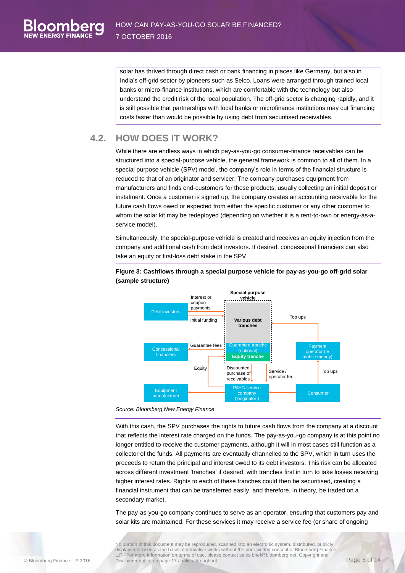solar has thrived through direct cash or bank financing in places like Germany, but also in India's off-grid sector by pioneers such as Selco. Loans were arranged through trained local banks or micro-finance institutions, which are comfortable with the technology but also understand the credit risk of the local population. The off-grid sector is changing rapidly, and it is still possible that partnerships with local banks or microfinance institutions may cut financing costs faster than would be possible by using debt from securitised receivables.

### **4.2. HOW DOES IT WORK?**

<span id="page-7-0"></span>While there are endless ways in which pay-as-you-go consumer-finance receivables can be structured into a special-purpose vehicle, the general framework is common to all of them. In a special purpose vehicle (SPV) model, the company's role in terms of the financial structure is reduced to that of an originator and servicer. The company purchases equipment from manufacturers and finds end-customers for these products, usually collecting an initial deposit or instalment. Once a customer is signed up, the company creates an accounting receivable for the future cash flows owed or expected from either the specific customer or any other customer to whom the solar kit may be redeployed (depending on whether it is a rent-to-own or energy-as-aservice model).

Simultaneously, the special-purpose vehicle is created and receives an equity injection from the company and additional cash from debt investors. If desired, concessional financiers can also take an equity or first-loss debt stake in the SPV.



#### **Figure 3: Cashflows through a special purpose vehicle for pay-as-you-go off-grid solar (sample structure)**

*Source: Bloomberg New Energy Finance*

With this cash, the SPV purchases the rights to future cash flows from the company at a discount that reflects the interest rate charged on the funds. The pay-as-you-go company is at this point no longer entitled to receive the customer payments, although it will in most cases still function as a collector of the funds. All payments are eventually channelled to the SPV, which in turn uses the proceeds to return the principal and interest owed to its debt investors. This risk can be allocated across different investment 'tranches' if desired, with tranches first in turn to take losses receiving higher interest rates. Rights to each of these tranches could then be securitised, creating a financial instrument that can be transferred easily, and therefore, in theory, be traded on a secondary market.

The pay-as-you-go company continues to serve as an operator, ensuring that customers pay and solar kits are maintained. For these services it may receive a service fee (or share of ongoing

No portion of this document may be reproduced, scanned into an electronic system, distributed, publicly displayed or used as the basis of derivative works without the prior written consent of Bloomberg Finance L.P. For more information on terms of use, please contact sales.bnef@bloomberg.net. Copyright and Disclaimer notice on page 17 applies throughout.<br>Disclaimer notice on page 17 applies throughout.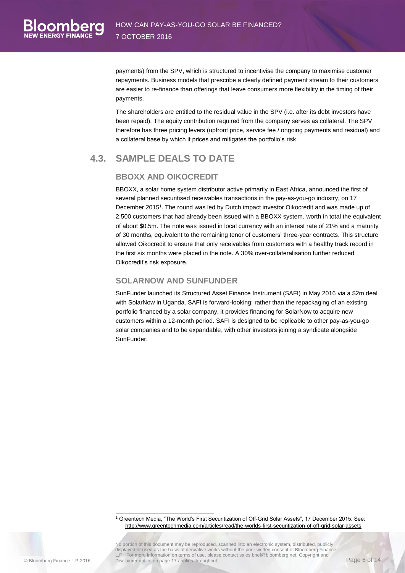payments) from the SPV, which is structured to incentivise the company to maximise customer repayments. Business models that prescribe a clearly defined payment stream to their customers are easier to re-finance than offerings that leave consumers more flexibility in the timing of their payments.

The shareholders are entitled to the residual value in the SPV (i.e. after its debt investors have been repaid). The equity contribution required from the company serves as collateral. The SPV therefore has three pricing levers (upfront price, service fee / ongoing payments and residual) and a collateral base by which it prices and mitigates the portfolio's risk.

### <span id="page-8-0"></span>**4.3. SAMPLE DEALS TO DATE**

#### **BBOXX AND OIKOCREDIT**

BBOXX, a solar home system distributor active primarily in East Africa, announced the first of several planned securitised receivables transactions in the pay-as-you-go industry, on 17 December 2015<sup>1</sup> . The round was led by Dutch impact investor Oikocredit and was made up of 2,500 customers that had already been issued with a BBOXX system, worth in total the equivalent of about \$0.5m. The note was issued in local currency with an interest rate of 21% and a maturity of 30 months, equivalent to the remaining tenor of customers' three-year contracts. This structure allowed Oikocredit to ensure that only receivables from customers with a healthy track record in the first six months were placed in the note. A 30% over-collateralisation further reduced Oikocredit's risk exposure.

#### **SOLARNOW AND SUNFUNDER**

SunFunder launched its Structured Asset Finance Instrument (SAFI) in May 2016 via a \$2m deal with SolarNow in Uganda. SAFI is forward-looking: rather than the repackaging of an existing portfolio financed by a solar company, it provides financing for SolarNow to acquire new customers within a 12-month period. SAFI is designed to be replicable to other pay-as-you-go solar companies and to be expandable, with other investors joining a syndicate alongside SunFunder.

<sup>1</sup> Greentech Media, "The World's First Securitization of Off-Grid Solar Assets", 17 December 2015. See: <http://www.greentechmedia.com/articles/read/the-worlds-first-securitization-of-off-grid-solar-assets>

No portion of this document may be reproduced, scanned into an electronic system, distributed, publicly displayed or used as the basis of derivative works without the prior written consent of Bloomberg Finance L.P. For more information on terms of use, please contact sales.bnef@bloomberg.net. Copyright and Disclaimer notice on page 17 applies throughout. Concernsive subconnecty the coopyright and Page 6 of 14

-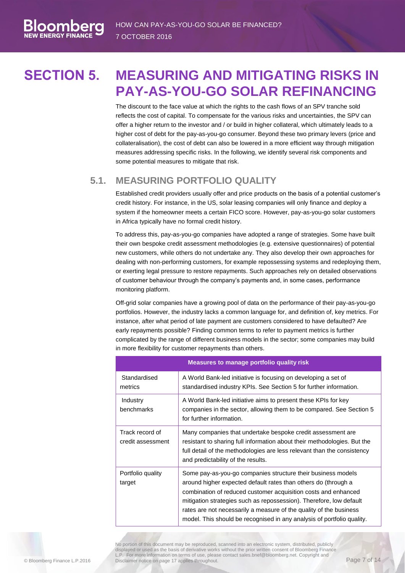# **SECTION 5. MEASURING AND MITIGATING RISKS IN PAY-AS-YOU-GO SOLAR REFINANCING**

<span id="page-9-0"></span>The discount to the face value at which the rights to the cash flows of an SPV tranche sold reflects the cost of capital. To compensate for the various risks and uncertainties, the SPV can offer a higher return to the investor and / or build in higher collateral, which ultimately leads to a higher cost of debt for the pay-as-you-go consumer. Beyond these two primary levers (price and collateralisation), the cost of debt can also be lowered in a more efficient way through mitigation measures addressing specific risks. In the following, we identify several risk components and some potential measures to mitigate that risk.

#### **5.1. MEASURING PORTFOLIO QUALITY**

<span id="page-9-1"></span>Established credit providers usually offer and price products on the basis of a potential customer's credit history. For instance, in the US, solar leasing companies will only finance and deploy a system if the homeowner meets a certain FICO score. However, pay-as-you-go solar customers in Africa typically have no formal credit history.

To address this, pay-as-you-go companies have adopted a range of strategies. Some have built their own bespoke credit assessment methodologies (e.g. extensive questionnaires) of potential new customers, while others do not undertake any. They also develop their own approaches for dealing with non-performing customers, for example repossessing systems and redeploying them, or exerting legal pressure to restore repayments. Such approaches rely on detailed observations of customer behaviour through the company's payments and, in some cases, performance monitoring platform.

Off-grid solar companies have a growing pool of data on the performance of their pay-as-you-go portfolios. However, the industry lacks a common language for, and definition of, key metrics. For instance, after what period of late payment are customers considered to have defaulted? Are early repayments possible? Finding common terms to refer to payment metrics is further complicated by the range of different business models in the sector; some companies may build in more flexibility for customer repayments than others.

|                                      | <b>Measures to manage portfolio quality risk</b>                                                                                                                                                                                                                                                                                                                                                                        |
|--------------------------------------|-------------------------------------------------------------------------------------------------------------------------------------------------------------------------------------------------------------------------------------------------------------------------------------------------------------------------------------------------------------------------------------------------------------------------|
| Standardised<br>metrics              | A World Bank-led initiative is focusing on developing a set of<br>standardised industry KPIs. See Section 5 for further information.                                                                                                                                                                                                                                                                                    |
| Industry<br>benchmarks               | A World Bank-led initiative aims to present these KPIs for key<br>companies in the sector, allowing them to be compared. See Section 5<br>for further information.                                                                                                                                                                                                                                                      |
| Track record of<br>credit assessment | Many companies that undertake bespoke credit assessment are<br>resistant to sharing full information about their methodologies. But the<br>full detail of the methodologies are less relevant than the consistency<br>and predictability of the results.                                                                                                                                                                |
| Portfolio quality<br>target          | Some pay-as-you-go companies structure their business models<br>around higher expected default rates than others do (through a<br>combination of reduced customer acquisition costs and enhanced<br>mitigation strategies such as repossession). Therefore, low default<br>rates are not necessarily a measure of the quality of the business<br>model. This should be recognised in any analysis of portfolio quality. |

No portion of this document may be reproduced, scanned into an electronic system, distributed, publicly displayed or used as the basis of derivative works without the prior written consent of Bloomberg Finance L.P. For more information on terms of use, please contact sales.bnef@bloomberg.net. Copyright and Disclaimer notice on page 17 applies throughout. Concentration of the concentration of the Page 7 of 14

loombei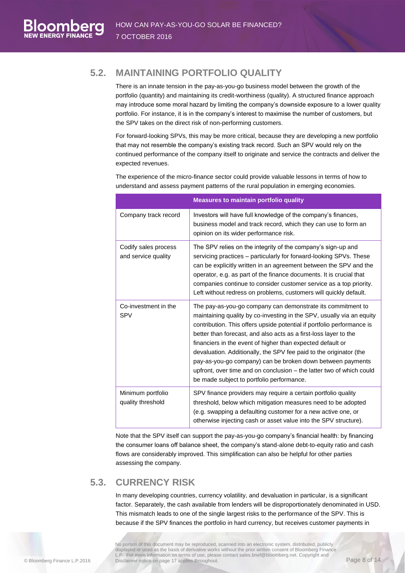### **5.2. MAINTAINING PORTFOLIO QUALITY**

<span id="page-10-0"></span>There is an innate tension in the pay-as-you-go business model between the growth of the portfolio (quantity) and maintaining its credit-worthiness (quality). A structured finance approach may introduce some moral hazard by limiting the company's downside exposure to a lower quality portfolio. For instance, it is in the company's interest to maximise the number of customers, but the SPV takes on the direct risk of non-performing customers.

For forward-looking SPVs, this may be more critical, because they are developing a new portfolio that may not resemble the company's existing track record. Such an SPV would rely on the continued performance of the company itself to originate and service the contracts and deliver the expected revenues.

The experience of the micro-finance sector could provide valuable lessons in terms of how to understand and assess payment patterns of the rural population in emerging economies.

|                                             | <b>Measures to maintain portfolio quality</b>                                                                                                                                                                                                                                                                                                                                                                                                                                                                                                                                                             |
|---------------------------------------------|-----------------------------------------------------------------------------------------------------------------------------------------------------------------------------------------------------------------------------------------------------------------------------------------------------------------------------------------------------------------------------------------------------------------------------------------------------------------------------------------------------------------------------------------------------------------------------------------------------------|
| Company track record                        | Investors will have full knowledge of the company's finances,<br>business model and track record, which they can use to form an<br>opinion on its wider performance risk.                                                                                                                                                                                                                                                                                                                                                                                                                                 |
| Codify sales process<br>and service quality | The SPV relies on the integrity of the company's sign-up and<br>servicing practices - particularly for forward-looking SPVs. These<br>can be explicitly written in an agreement between the SPV and the<br>operator, e.g. as part of the finance documents. It is crucial that<br>companies continue to consider customer service as a top priority.<br>Left without redress on problems, customers will quickly default.                                                                                                                                                                                 |
| Co-investment in the<br><b>SPV</b>          | The pay-as-you-go company can demonstrate its commitment to<br>maintaining quality by co-investing in the SPV, usually via an equity<br>contribution. This offers upside potential if portfolio performance is<br>better than forecast, and also acts as a first-loss layer to the<br>financiers in the event of higher than expected default or<br>devaluation. Additionally, the SPV fee paid to the originator (the<br>pay-as-you-go company) can be broken down between payments<br>upfront, over time and on conclusion – the latter two of which could<br>be made subject to portfolio performance. |
| Minimum portfolio<br>quality threshold      | SPV finance providers may require a certain portfolio quality<br>threshold, below which mitigation measures need to be adopted<br>(e.g. swapping a defaulting customer for a new active one, or<br>otherwise injecting cash or asset value into the SPV structure).                                                                                                                                                                                                                                                                                                                                       |

Note that the SPV itself can support the pay-as-you-go company's financial health: by financing the consumer loans off balance sheet, the company's stand-alone debt-to-equity ratio and cash flows are considerably improved. This simplification can also be helpful for other parties assessing the company.

### **5.3. CURRENCY RISK**

<span id="page-10-1"></span>In many developing countries, currency volatility, and devaluation in particular, is a significant factor. Separately, the cash available from lenders will be disproportionately denominated in USD. This mismatch leads to one of the single largest risks to the performance of the SPV. This is because if the SPV finances the portfolio in hard currency, but receives customer payments in

No portion of this document may be reproduced, scanned into an electronic system, distributed, publicly displayed or used as the basis of derivative works without the prior written consent of Bloomberg Finance L.P. For more information on terms of use, please contact sales.bnef@bloomberg.net. Copyright and Disclaimer notice on page 17 applies throughout. Concentration of the Disclaimer notice on page 17 applies throughout.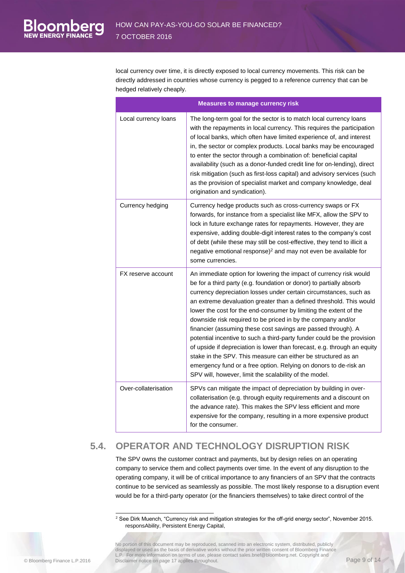local currency over time, it is directly exposed to local currency movements. This risk can be directly addressed in countries whose currency is pegged to a reference currency that can be hedged relatively cheaply.

| <b>Measures to manage currency risk</b> |                                                                                                                                                                                                                                                                                                                                                                                                                                                                                                                                                                                                                                                                                                                                                                                                                                                   |  |
|-----------------------------------------|---------------------------------------------------------------------------------------------------------------------------------------------------------------------------------------------------------------------------------------------------------------------------------------------------------------------------------------------------------------------------------------------------------------------------------------------------------------------------------------------------------------------------------------------------------------------------------------------------------------------------------------------------------------------------------------------------------------------------------------------------------------------------------------------------------------------------------------------------|--|
| Local currency loans                    | The long-term goal for the sector is to match local currency loans<br>with the repayments in local currency. This requires the participation<br>of local banks, which often have limited experience of, and interest<br>in, the sector or complex products. Local banks may be encouraged<br>to enter the sector through a combination of: beneficial capital<br>availability (such as a donor-funded credit line for on-lending), direct<br>risk mitigation (such as first-loss capital) and advisory services (such<br>as the provision of specialist market and company knowledge, deal<br>origination and syndication).                                                                                                                                                                                                                       |  |
| Currency hedging                        | Currency hedge products such as cross-currency swaps or FX<br>forwards, for instance from a specialist like MFX, allow the SPV to<br>lock in future exchange rates for repayments. However, they are<br>expensive, adding double-digit interest rates to the company's cost<br>of debt (while these may still be cost-effective, they tend to illicit a<br>negative emotional response) <sup>2</sup> and may not even be available for<br>some currencies.                                                                                                                                                                                                                                                                                                                                                                                        |  |
| FX reserve account                      | An immediate option for lowering the impact of currency risk would<br>be for a third party (e.g. foundation or donor) to partially absorb<br>currency depreciation losses under certain circumstances, such as<br>an extreme devaluation greater than a defined threshold. This would<br>lower the cost for the end-consumer by limiting the extent of the<br>downside risk required to be priced in by the company and/or<br>financier (assuming these cost savings are passed through). A<br>potential incentive to such a third-party funder could be the provision<br>of upside if depreciation is lower than forecast, e.g. through an equity<br>stake in the SPV. This measure can either be structured as an<br>emergency fund or a free option. Relying on donors to de-risk an<br>SPV will, however, limit the scalability of the model. |  |
| Over-collaterisation                    | SPVs can mitigate the impact of depreciation by building in over-<br>collaterisation (e.g. through equity requirements and a discount on<br>the advance rate). This makes the SPV less efficient and more<br>expensive for the company, resulting in a more expensive product<br>for the consumer.                                                                                                                                                                                                                                                                                                                                                                                                                                                                                                                                                |  |

### **5.4. OPERATOR AND TECHNOLOGY DISRUPTION RISK**

<span id="page-11-0"></span>The SPV owns the customer contract and payments, but by design relies on an operating company to service them and collect payments over time. In the event of any disruption to the operating company, it will be of critical importance to any financiers of an SPV that the contracts continue to be serviced as seamlessly as possible. The most likely response to a disruption event would be for a third-party operator (or the financiers themselves) to take direct control of the

<sup>-</sup> $2$  See Dirk Muench, "Currency risk and mitigation strategies for the off-grid energy sector", November 2015. responsAbility, Persistent Energy Capital,

No portion of this document may be reproduced, scanned into an electronic system, distributed, publicly displayed or used as the basis of derivative works without the prior written consent of Bloomberg Finance L.P. For more information on terms of use, please contact sales.bnef@bloomberg.net. Copyright and Disclaimer notice on page 17 applies throughout.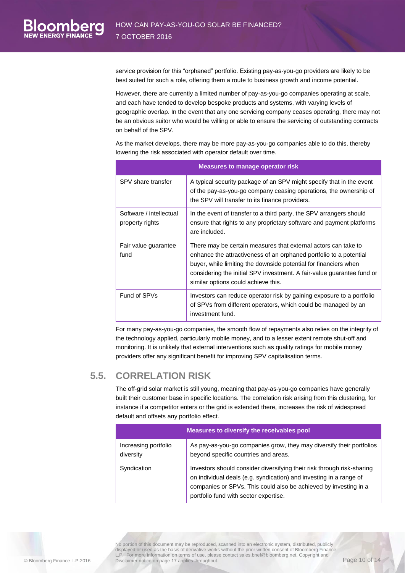service provision for this "orphaned" portfolio. Existing pay-as-you-go providers are likely to be best suited for such a role, offering them a route to business growth and income potential.

However, there are currently a limited number of pay-as-you-go companies operating at scale, and each have tended to develop bespoke products and systems, with varying levels of geographic overlap. In the event that any one servicing company ceases operating, there may not be an obvious suitor who would be willing or able to ensure the servicing of outstanding contracts on behalf of the SPV.

As the market develops, there may be more pay-as-you-go companies able to do this, thereby lowering the risk associated with operator default over time.

| <b>Measures to manage operator risk</b>    |                                                                                                                                                                                                                                                                                                                           |  |
|--------------------------------------------|---------------------------------------------------------------------------------------------------------------------------------------------------------------------------------------------------------------------------------------------------------------------------------------------------------------------------|--|
| SPV share transfer                         | A typical security package of an SPV might specify that in the event<br>of the pay-as-you-go company ceasing operations, the ownership of<br>the SPV will transfer to its finance providers.                                                                                                                              |  |
| Software / intellectual<br>property rights | In the event of transfer to a third party, the SPV arrangers should<br>ensure that rights to any proprietary software and payment platforms<br>are included.                                                                                                                                                              |  |
| Fair value guarantee<br>fund               | There may be certain measures that external actors can take to<br>enhance the attractiveness of an orphaned portfolio to a potential<br>buyer, while limiting the downside potential for financiers when<br>considering the initial SPV investment. A fair-value guarantee fund or<br>similar options could achieve this. |  |
| Fund of SPVs                               | Investors can reduce operator risk by gaining exposure to a portfolio<br>of SPVs from different operators, which could be managed by an<br>investment fund.                                                                                                                                                               |  |

For many pay-as-you-go companies, the smooth flow of repayments also relies on the integrity of the technology applied, particularly mobile money, and to a lesser extent remote shut-off and monitoring. It is unlikely that external interventions such as quality ratings for mobile money providers offer any significant benefit for improving SPV capitalisation terms.

#### **5.5. CORRELATION RISK**

<span id="page-12-0"></span>The off-grid solar market is still young, meaning that pay-as-you-go companies have generally built their customer base in specific locations. The correlation risk arising from this clustering, for instance if a competitor enters or the grid is extended there, increases the risk of widespread default and offsets any portfolio effect.

| Measures to diversify the receivables pool |                                                                                                                                                                                                                                                           |
|--------------------------------------------|-----------------------------------------------------------------------------------------------------------------------------------------------------------------------------------------------------------------------------------------------------------|
| Increasing portfolio<br>diversity          | As pay-as-you-go companies grow, they may diversify their portfolios<br>beyond specific countries and areas.                                                                                                                                              |
| Syndication                                | Investors should consider diversifying their risk through risk-sharing<br>on individual deals (e.g. syndication) and investing in a range of<br>companies or SPVs. This could also be achieved by investing in a<br>portfolio fund with sector expertise. |

No portion of this document may be reproduced, scanned into an electronic system, distributed, publicly displayed or used as the basis of derivative works without the prior written consent of Bloomberg Finance L.P. For more information on terms of use, please contact sales.bnef@bloomberg.net. Copyright and Disclaimer notice on page 17 applies throughout.<br>Disclaimer notice on page 17 applies throughout.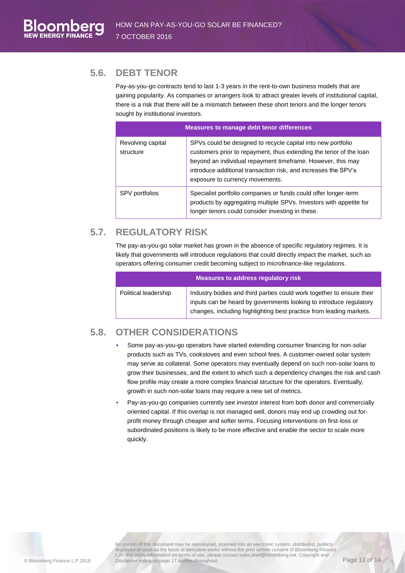### **5.6. DEBT TENOR**

<span id="page-13-0"></span>Pay-as-you-go contracts tend to last 1-3 years in the rent-to-own business models that are gaining popularity. As companies or arrangers look to attract greater levels of institutional capital, there is a risk that there will be a mismatch between these short tenors and the longer tenors sought by institutional investors.

| <b>Measures to manage debt tenor differences</b> |                                                                                                                                                                                                                                                                                                        |
|--------------------------------------------------|--------------------------------------------------------------------------------------------------------------------------------------------------------------------------------------------------------------------------------------------------------------------------------------------------------|
| Revolving capital<br>structure                   | SPVs could be designed to recycle capital into new portfolio<br>customers prior to repayment, thus extending the tenor of the loan<br>beyond an individual repayment timeframe. However, this may<br>introduce additional transaction risk, and increases the SPV's<br>exposure to currency movements. |
| SPV portfolios                                   | Specialist portfolio companies or funds could offer longer-term<br>products by aggregating multiple SPVs. Investors with appetite for<br>longer tenors could consider investing in these.                                                                                                              |

# **5.7. REGULATORY RISK**

<span id="page-13-1"></span>The pay-as-you-go solar market has grown in the absence of specific regulatory regimes. It is likely that governments will introduce regulations that could directly impact the market, such as operators offering consumer credit becoming subject to microfinance-like regulations.

| Measures to address regulatory risk |                                                                                                                                                                                                                    |  |
|-------------------------------------|--------------------------------------------------------------------------------------------------------------------------------------------------------------------------------------------------------------------|--|
| Political leadership                | Industry bodies and third parties could work together to ensure their<br>inputs can be heard by governments looking to introduce regulatory<br>changes, including highlighting best practice from leading markets. |  |

## **5.8. OTHER CONSIDERATIONS**

- <span id="page-13-2"></span>• Some pay-as-you-go operators have started extending consumer financing for non-solar products such as TVs, cookstoves and even school fees. A customer-owned solar system may serve as collateral. Some operators may eventually depend on such non-solar loans to grow their businesses, and the extent to which such a dependency changes the risk and cash flow profile may create a more complex financial structure for the operators. Eventually, growth in such non-solar loans may require a new set of metrics.
- Pay-as-you-go companies currently see investor interest from both donor and commercially oriented capital. If this overlap is not managed well, donors may end up crowding out forprofit money through cheaper and softer terms. Focusing interventions on first-loss or subordinated positions is likely to be more effective and enable the sector to scale more quickly.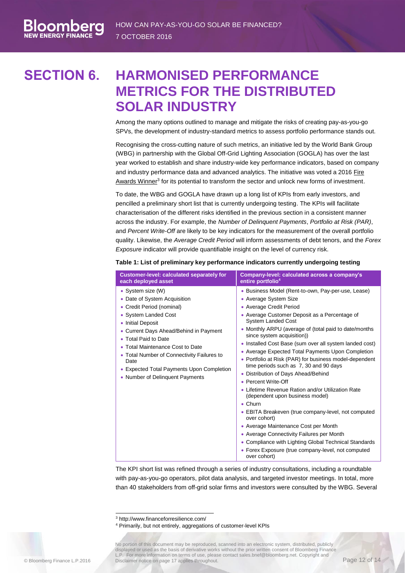# **SECTION 6. HARMONISED PERFORMANCE METRICS FOR THE DISTRIBUTED SOLAR INDUSTRY**

<span id="page-14-0"></span>Among the many options outlined to manage and mitigate the risks of creating pay-as-you-go SPVs, the development of industry-standard metrics to assess portfolio performance stands out.

Recognising the cross-cutting nature of such metrics, an initiative led by the World Bank Group (WBG) in partnership with the Global Off-Grid Lighting Association (GOGLA) has over the last year worked to establish and share industry-wide key performance indicators, based on company and industry performance data and advanced analytics. The initiative was voted a 2016 [Fire](http://www.financeforresilience.com/)  [Awards](http://www.financeforresilience.com/) Winner<sup>3</sup> for its potential to transform the sector and unlock new forms of investment.

To date, the WBG and GOGLA have drawn up a long list of KPIs from early investors, and pencilled a preliminary short list that is currently undergoing testing. The KPIs will facilitate characterisation of the different risks identified in the previous section in a consistent manner across the industry. For example, the *Number of Delinquent Payments*, *Portfolio at Risk (PAR)*, and *Percent Write-Off* are likely to be key indicators for the measurement of the overall portfolio quality. Likewise, the *Average Credit Period* will inform assessments of debt tenors, and the *Forex Exposure* indicator will provide quantifiable insight on the level of currency risk.

| Customer-level: calculated separately for                                                                                                                                                                                                                                                                                                                                  | Company-level: calculated across a company's                                                                                                                                                                                                                                                                                                                                                                                                                                                                                                                                                                                                                                                                                                                                                                                                                                                                                                                        |
|----------------------------------------------------------------------------------------------------------------------------------------------------------------------------------------------------------------------------------------------------------------------------------------------------------------------------------------------------------------------------|---------------------------------------------------------------------------------------------------------------------------------------------------------------------------------------------------------------------------------------------------------------------------------------------------------------------------------------------------------------------------------------------------------------------------------------------------------------------------------------------------------------------------------------------------------------------------------------------------------------------------------------------------------------------------------------------------------------------------------------------------------------------------------------------------------------------------------------------------------------------------------------------------------------------------------------------------------------------|
| each deployed asset                                                                                                                                                                                                                                                                                                                                                        | entire portfolio <sup>4</sup>                                                                                                                                                                                                                                                                                                                                                                                                                                                                                                                                                                                                                                                                                                                                                                                                                                                                                                                                       |
| • System size (W)<br>• Date of System Acquisition<br>• Credit Period (nominal)<br>• System Landed Cost<br><b>Initial Deposit</b><br>• Current Days Ahead/Behind in Payment<br>• Total Paid to Date<br>• Total Maintenance Cost to Date<br>Total Number of Connectivity Failures to<br>Date<br>• Expected Total Payments Upon Completion<br>• Number of Delinguent Payments | • Business Model (Rent-to-own, Pay-per-use, Lease)<br>• Average System Size<br>• Average Credit Period<br>• Average Customer Deposit as a Percentage of<br><b>System Landed Cost</b><br>• Monthly ARPU (average of (total paid to date/months<br>since system acquisition))<br>• Installed Cost Base (sum over all system landed cost)<br>• Average Expected Total Payments Upon Completion<br>• Portfolio at Risk (PAR) for business model-dependent<br>time periods such as 7, 30 and 90 days<br>• Distribution of Days Ahead/Behind<br>• Percent Write-Off<br>• Lifetime Revenue Ration and/or Utilization Rate<br>(dependent upon business model)<br>$\bullet$ Churn<br>• EBITA Breakeven (true company-level, not computed<br>over cohort)<br>• Average Maintenance Cost per Month<br>• Average Connectivity Failures per Month<br>• Compliance with Lighting Global Technical Standards<br>• Forex Exposure (true company-level, not computed<br>over cohort) |

#### **Table 1: List of preliminary key performance indicators currently undergoing testing**

The KPI short list was refined through a series of industry consultations, including a roundtable with pay-as-you-go operators, pilot data analysis, and targeted investor meetings. In total, more than 40 stakeholders from off-grid solar firms and investors were consulted by the WBG. Several

-

loombei

<sup>3</sup> http://www.financeforresilience.com/

<sup>4</sup> Primarily, but not entirely, aggregations of customer-level KPIs

No portion of this document may be reproduced, scanned into an electronic system, distributed, publicly displayed or used as the basis of derivative works without the prior written consent of Bloomberg Finance L.P. For more information on terms of use, please contact sales.bnef@bloomberg.net. Copyright and Disclaimer notice on page 17 applies throughout. Page 12 of 14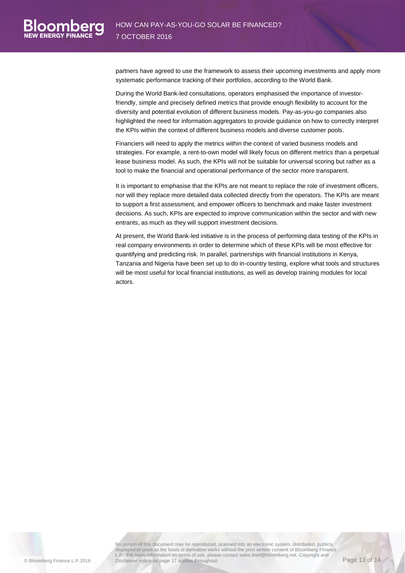partners have agreed to use the framework to assess their upcoming investments and apply more systematic performance tracking of their portfolios, according to the World Bank.

During the World Bank-led consultations, operators emphasised the importance of investorfriendly, simple and precisely defined metrics that provide enough flexibility to account for the diversity and potential evolution of different business models. Pay-as-you-go companies also highlighted the need for information aggregators to provide guidance on how to correctly interpret the KPIs within the context of different business models and diverse customer pools.

Financiers will need to apply the metrics within the context of varied business models and strategies. For example, a rent-to-own model will likely focus on different metrics than a perpetual lease business model. As such, the KPIs will not be suitable for universal scoring but rather as a tool to make the financial and operational performance of the sector more transparent.

It is important to emphasise that the KPIs are not meant to replace the role of investment officers, nor will they replace more detailed data collected directly from the operators. The KPIs are meant to support a first assessment, and empower officers to benchmark and make faster investment decisions. As such, KPIs are expected to improve communication within the sector and with new entrants, as much as they will support investment decisions.

At present, the World Bank-led initiative is in the process of performing data testing of the KPIs in real company environments in order to determine which of these KPIs will be most effective for quantifying and predicting risk. In parallel, partnerships with financial institutions in Kenya, Tanzania and Nigeria have been set up to do in-country testing, explore what tools and structures will be most useful for local financial institutions, as well as develop training modules for local actors.

oombe